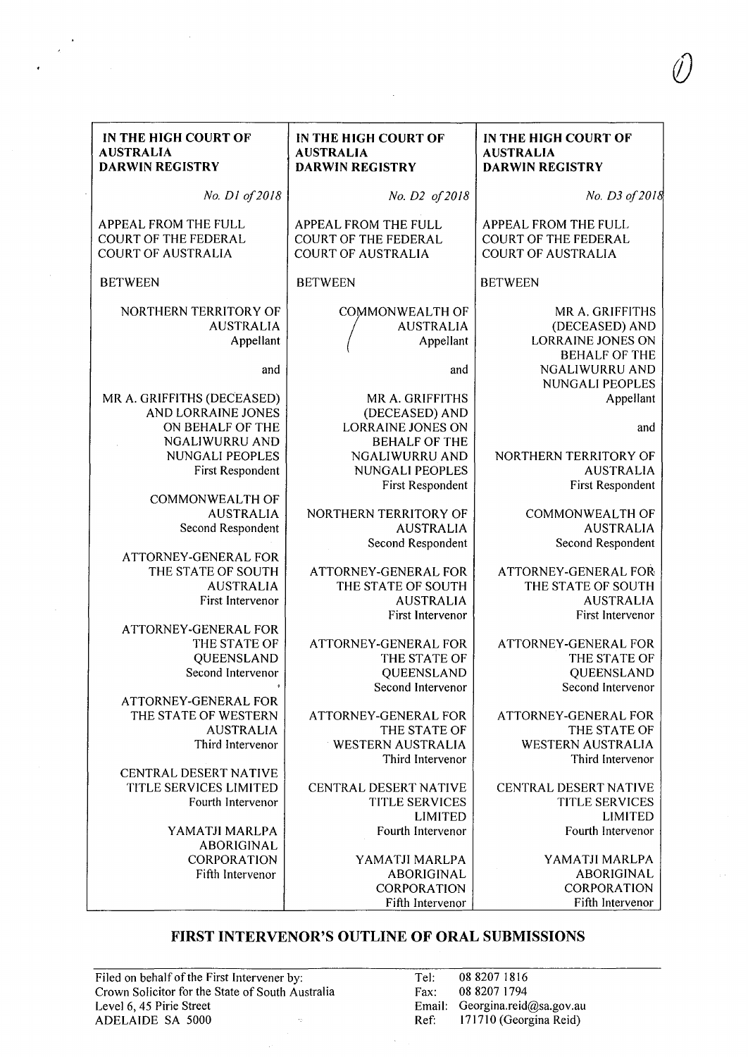| IN THE HIGH COURT OF<br><b>AUSTRALIA</b><br><b>DARWIN REGISTRY</b>                                                                                                                                                                                                                                                                                                                                                                                                                                             | IN THE HIGH COURT OF<br><b>AUSTRALIA</b><br><b>DARWIN REGISTRY</b>                                                                                                                                                                                                                                                                                                                                                                                                                        | IN THE HIGH COURT OF<br><b>AUSTRALIA</b><br><b>DARWIN REGISTRY</b>                                                                                                                                                                                                                                                                                                                                                                                                   |
|----------------------------------------------------------------------------------------------------------------------------------------------------------------------------------------------------------------------------------------------------------------------------------------------------------------------------------------------------------------------------------------------------------------------------------------------------------------------------------------------------------------|-------------------------------------------------------------------------------------------------------------------------------------------------------------------------------------------------------------------------------------------------------------------------------------------------------------------------------------------------------------------------------------------------------------------------------------------------------------------------------------------|----------------------------------------------------------------------------------------------------------------------------------------------------------------------------------------------------------------------------------------------------------------------------------------------------------------------------------------------------------------------------------------------------------------------------------------------------------------------|
| No. D1 of 2018                                                                                                                                                                                                                                                                                                                                                                                                                                                                                                 | No. D2 of 2018                                                                                                                                                                                                                                                                                                                                                                                                                                                                            | No. D3 of 2018                                                                                                                                                                                                                                                                                                                                                                                                                                                       |
| <b>APPEAL FROM THE FULL</b><br><b>COURT OF THE FEDERAL</b><br><b>COURT OF AUSTRALIA</b>                                                                                                                                                                                                                                                                                                                                                                                                                        | APPEAL FROM THE FULL<br><b>COURT OF THE FEDERAL</b><br><b>COURT OF AUSTRALIA</b>                                                                                                                                                                                                                                                                                                                                                                                                          | APPEAL FROM THE FULL<br><b>COURT OF THE FEDERAL</b><br><b>COURT OF AUSTRALIA</b>                                                                                                                                                                                                                                                                                                                                                                                     |
| <b>BETWEEN</b>                                                                                                                                                                                                                                                                                                                                                                                                                                                                                                 | <b>BETWEEN</b>                                                                                                                                                                                                                                                                                                                                                                                                                                                                            | <b>BETWEEN</b>                                                                                                                                                                                                                                                                                                                                                                                                                                                       |
| NORTHERN TERRITORY OF<br><b>AUSTRALIA</b><br>Appellant<br>and<br>MR A. GRIFFITHS (DECEASED)<br>AND LORRAINE JONES<br>ON BEHALF OF THE<br><b>NGALIWURRU AND</b><br>NUNGALI PEOPLES<br>First Respondent<br><b>COMMONWEALTH OF</b><br><b>AUSTRALIA</b><br>Second Respondent<br><b>ATTORNEY-GENERAL FOR</b><br>THE STATE OF SOUTH<br><b>AUSTRALIA</b><br>First Intervenor<br><b>ATTORNEY-GENERAL FOR</b><br>THE STATE OF<br>QUEENSLAND<br>Second Intervenor<br><b>ATTORNEY-GENERAL FOR</b><br>THE STATE OF WESTERN | COMMONWEALTH OF<br><b>AUSTRALIA</b><br>Appellant<br>and<br>MR A. GRIFFITHS<br>(DECEASED) AND<br><b>LORRAINE JONES ON</b><br><b>BEHALF OF THE</b><br><b>NGALIWURRU AND</b><br><b>NUNGALI PEOPLES</b><br>First Respondent<br>NORTHERN TERRITORY OF<br><b>AUSTRALIA</b><br>Second Respondent<br><b>ATTORNEY-GENERAL FOR</b><br>THE STATE OF SOUTH<br><b>AUSTRALIA</b><br>First Intervenor<br>ATTORNEY-GENERAL FOR<br>THE STATE OF<br>QUEENSLAND<br>Second Intervenor<br>ATTORNEY-GENERAL FOR | MR A. GRIFFITHS<br>(DECEASED) AND<br>LORRAINE JONES ON<br><b>BEHALF OF THE</b><br>NGALIWURRU AND<br>NUNGALI PEOPLES<br>Appellant<br>and<br>NORTHERN TERRITORY OF<br><b>AUSTRALIA</b><br>First Respondent<br><b>COMMONWEALTH OF</b><br><b>AUSTRALIA</b><br>Second Respondent<br>ATTORNEY-GENERAL FOR<br>THE STATE OF SOUTH<br><b>AUSTRALIA</b><br>First Intervenor<br>ATTORNEY-GENERAL FOR<br>THE STATE OF<br>QUEENSLAND<br>Second Intervenor<br>ATTORNEY-GENERAL FOR |
| <b>AUSTRALIA</b><br>Third Intervenor                                                                                                                                                                                                                                                                                                                                                                                                                                                                           | THE STATE OF<br><b>WESTERN AUSTRALIA</b><br>Third Intervenor                                                                                                                                                                                                                                                                                                                                                                                                                              | THE STATE OF<br><b>WESTERN AUSTRALIA</b><br>Third Intervenor                                                                                                                                                                                                                                                                                                                                                                                                         |
| CENTRAL DESERT NATIVE<br>TITLE SERVICES LIMITED<br>Fourth Intervenor<br>YAMATJI MARLPA<br>ABORIGINAL<br><b>CORPORATION</b><br>Fifth Intervenor                                                                                                                                                                                                                                                                                                                                                                 | CENTRAL DESERT NATIVE<br><b>TITLE SERVICES</b><br><b>LIMITED</b><br>Fourth Intervenor<br>YAMATJI MARLPA<br><b>ABORIGINAL</b><br><b>CORPORATION</b><br>Fifth Intervenor                                                                                                                                                                                                                                                                                                                    | <b>CENTRAL DESERT NATIVE</b><br><b>TITLE SERVICES</b><br><b>LIMITED</b><br>Fourth Intervenor<br>YAMATJI MARLPA<br><b>ABORIGINAL</b><br><b>CORPORATION</b><br>Fifth Intervenor                                                                                                                                                                                                                                                                                        |

## **FIRST INTERVENOR'S OUTLINE OF ORAL SUBMISSIONS**

 $\overline{\phantom{a}}$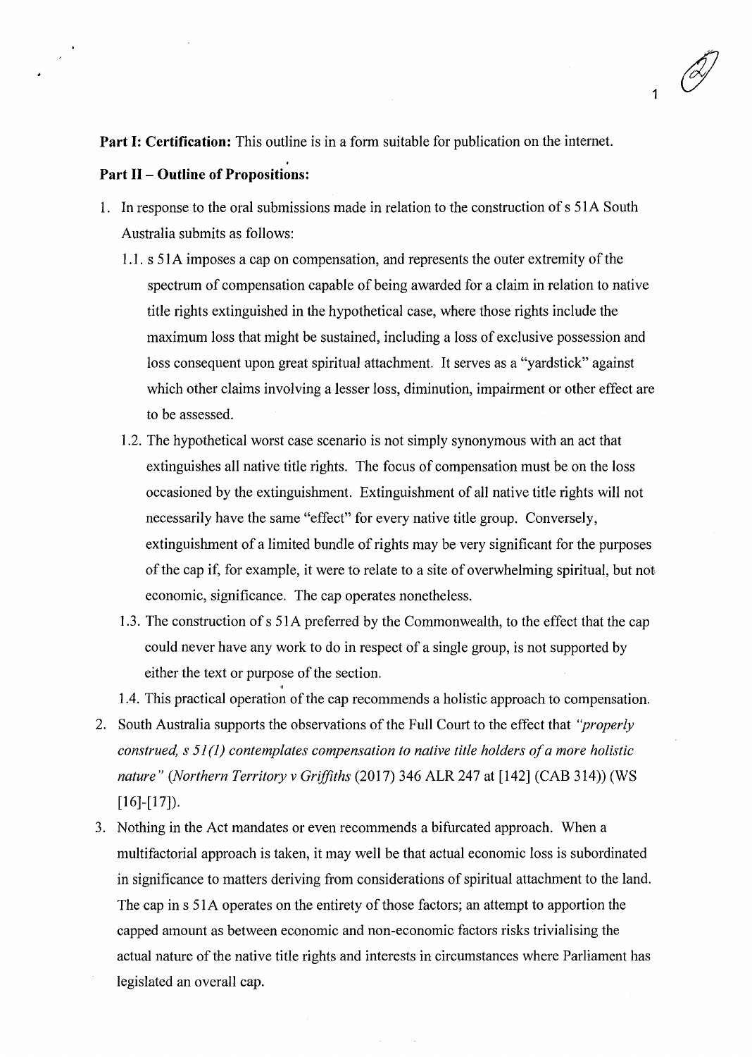1

**Part I: Certification:** This outline is in a form suitable for publication on the internet.

## **Part 11- Outline of Propositions:**

- 1. In response to the oral submissions made in relation to the construction of s 51A South Australia submits as follows:
	- 1.1. s 51A imposes a cap on compensation, and represents the outer extremity of the spectrum of compensation capable of being awarded for a claim in relation to native title rights extinguished in the hypothetical case, where those rights include the maximum loss that might be sustained, including a loss of exclusive possession and loss consequent upon great spiritual attachment. It serves as a "yardstick" against which other claims involving a lesser loss, diminution, impairment or other effect are to be assessed.
	- 1.2. The hypothetical worst case scenario is not simply synonymous with an act that extinguishes all native title rights. The focus of compensation must be on the loss occasioned by the extinguishment. Extinguishment of all native title rights will not necessarily have the same "effect" for every native title group. Conversely, extinguishment of a limited bundle of rights may be very significant for the purposes of the cap if, for example, it were to relate to a site of overwhelming spiritual, but not economic, significance. The cap operates nonetheless.
	- 1.3. The construction of s 51 A preferred by the Commonwealth, to the effect that the cap could never have any work to do in respect of a single group, is not supported by either the text or purpose of the section.
	- 1.4. This practical operation of the cap recommends a holistic approach to compensation.
- 2. South Australia supports the observations of the Full Court to the effect that *"properly construed, s 51* (I) *contemplates compensation to native title holders of a more holistic nature" (Northern Territory v Grifjiths* (2017) 346 ALR 247 at [142] (CAB 314)) (WS  $[16]$ - $[17]$ ).
- 3. Nothing in the Act mandates or even recommends a bifurcated approach. When a multifactorial approach is taken, it may well be that actual economic loss is subordinated in significance to matters deriving from considerations of spiritual attachment to the land. The cap in s 51A operates on the entirety of those factors; an attempt to apportion the capped amount as between economic and non-economic factors risks trivialising the actual nature of the native title rights and interests in circumstances where Parliament has legislated an overall cap.